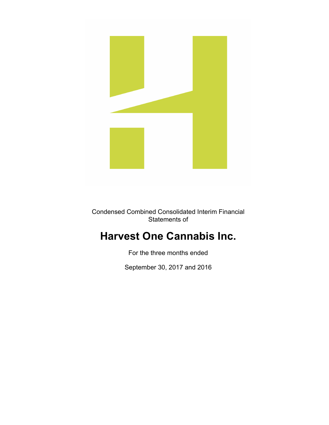

Condensed Combined Consolidated Interim Financial Statements of

# **Harvest One Cannabis Inc.**

For the three months ended

September 30, 2017 and 2016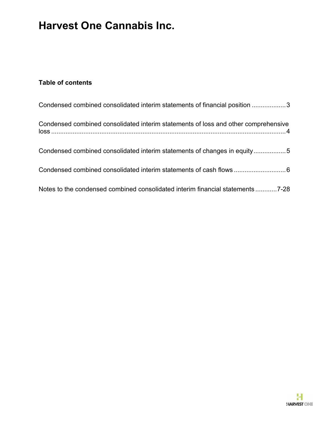### **Table of contents**

| Condensed combined consolidated interim statements of financial position 3         |
|------------------------------------------------------------------------------------|
| Condensed combined consolidated interim statements of loss and other comprehensive |
| Condensed combined consolidated interim statements of changes in equity5           |
| Condensed combined consolidated interim statements of cash flows  6                |
| Notes to the condensed combined consolidated interim financial statements7-28      |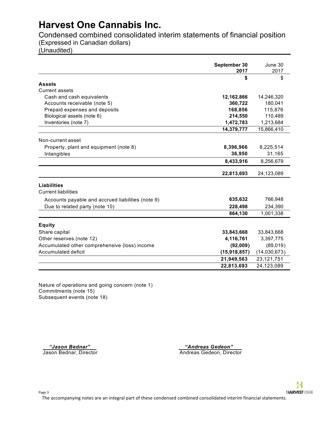Condensed combined consolidated interim statements of financial position (Expressed in Canadian dollars)

(Unaudited)

|                                                   | September 30<br>2017 | June 30<br>2017 |
|---------------------------------------------------|----------------------|-----------------|
|                                                   | \$                   | \$              |
| <b>Assets</b>                                     |                      |                 |
| <b>Current assets</b>                             |                      |                 |
| Cash and cash equivalents                         | 12,162,866           | 14,246,320      |
| Accounts receivable (note 5)                      | 360,722              | 180,041         |
| Prepaid expenses and deposits                     | 168,856              | 115,876         |
| Biological assets (note 6)                        | 214,550              | 110,489         |
| Inventories (note 7)                              | 1,472,783            | 1,213,684       |
|                                                   | 14,379,777           | 15,866,410      |
| Non-current asset                                 |                      |                 |
| Property, plant and equipment (note 8)            | 8,396,966            | 8,225,514       |
| Intangibles                                       | 36,950               | 31,165          |
|                                                   | 8,433,916            | 8,256,679       |
|                                                   | 22,813,693           | 24,123,089      |
| <b>Liabilities</b>                                |                      |                 |
| <b>Current liabilities</b>                        |                      |                 |
| Accounts payable and accrued liabilities (note 9) | 635,632              | 766,948         |
| Due to related party (note 10)                    | 228,498              | 234,390         |
|                                                   | 864,130              | 1,001,338       |
| <b>Equity</b>                                     |                      |                 |
| Share capital                                     | 33,843,668           | 33,843,668      |
| Other reserves (note 12)                          | 4,116,761            | 3,397,775       |
| Accumulated other comprehensive (loss) income     | (92,009)             | (89,019)        |
| Accumulated deficit                               | (15,918,857)         | (14,030,673)    |
|                                                   | 21,949,563           | 23, 121, 751    |
|                                                   | 22,813,693           | 24,123,089      |

Nature of operations and going concern (note 1) Commitments (note 15) Subsequent events (note 18)

 *"Jason Bednar" "Andreas Gedeon"*  Jason Bednar, Director Andreas Gedeon, Director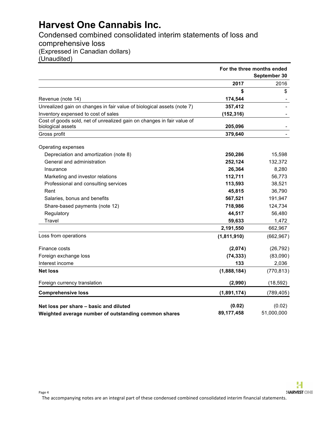Condensed combined consolidated interim statements of loss and comprehensive loss (Expressed in Canadian dollars) (Unaudited)

|                                                                        | For the three months ended |              |
|------------------------------------------------------------------------|----------------------------|--------------|
|                                                                        |                            | September 30 |
|                                                                        | 2017                       | 2016         |
|                                                                        | \$                         | \$           |
| Revenue (note 14)                                                      | 174,544                    |              |
| Unrealized gain on changes in fair value of biological assets (note 7) | 357,412                    |              |
| Inventory expensed to cost of sales                                    | (152, 316)                 |              |
| Cost of goods sold, net of unrealized gain on changes in fair value of |                            |              |
| biological assets                                                      | 205,096                    |              |
| Gross profit                                                           | 379,640                    |              |
| Operating expenses                                                     |                            |              |
| Depreciation and amortization (note 8)                                 | 250,286                    | 15,598       |
| General and administration                                             | 252,124                    | 132,372      |
| Insurance                                                              | 26,364                     | 8,280        |
| Marketing and investor relations                                       | 112,711                    | 56,773       |
| Professional and consulting services                                   | 113,593                    | 38,521       |
| Rent                                                                   | 45,815                     | 36,790       |
| Salaries, bonus and benefits                                           | 567,521                    | 191,947      |
| Share-based payments (note 12)                                         | 718,986                    | 124,734      |
| Regulatory                                                             | 44,517                     | 56,480       |
| Travel                                                                 | 59,633                     | 1,472        |
|                                                                        | 2,191,550                  | 662,967      |
| Loss from operations                                                   | (1,811,910)                | (662, 967)   |
| Finance costs                                                          | (2,074)                    | (26, 792)    |
| Foreign exchange loss                                                  | (74, 333)                  | (83,090)     |
| Interest income                                                        | 133                        | 2,036        |
| <b>Net loss</b>                                                        | (1,888,184)                | (770, 813)   |
| Foreign currency translation                                           | (2,990)                    | (18, 592)    |
| <b>Comprehensive loss</b>                                              | (1,891,174)                | (789, 405)   |
| Net loss per share - basic and diluted                                 | (0.02)                     | (0.02)       |
| Weighted average number of outstanding common shares                   | 89,177,458                 | 51,000,000   |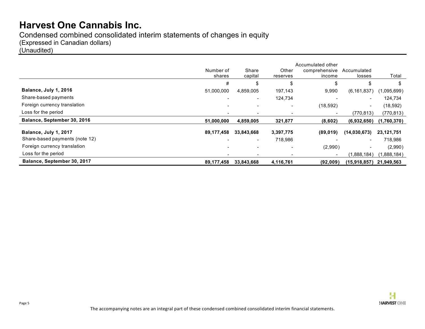Condensed combined consolidated interim statements of changes in equity (Expressed in Canadian dollars) (Unaudited)

|                                |                          |                          |                   | Accumulated other       |                          |             |
|--------------------------------|--------------------------|--------------------------|-------------------|-------------------------|--------------------------|-------------|
|                                | Number of<br>shares      | Share<br>capital         | Other<br>reserves | comprehensive<br>income | Accumulated<br>losses    | Total       |
|                                | #                        | \$                       | \$                | S                       | \$                       | \$          |
| Balance, July 1, 2016          | 51,000,000               | 4,859,005                | 197,143           | 9,990                   | (6, 161, 837)            | (1,095,699) |
| Share-based payments           | $\blacksquare$           | $\sim$                   | 124,734           |                         | $\overline{\phantom{a}}$ | 124,734     |
| Foreign currency translation   | $\overline{\phantom{0}}$ |                          | $\blacksquare$    | (18, 592)               | $\overline{\phantom{a}}$ | (18, 592)   |
| Loss for the period            |                          |                          |                   | $\blacksquare$          | (770,813)                | (770, 813)  |
| Balance, September 30, 2016    | 51,000,000               | 4,859,005                | 321,877           | (8,602)                 | (6,932,650)              | (1,760,370) |
| Balance, July 1, 2017          | 89,177,458               | 33,843,668               | 3,397,775         | (89, 019)               | (14,030,673)             | 23,121,751  |
| Share-based payments (note 12) |                          | $\overline{\phantom{a}}$ | 718,986           |                         |                          | 718,986     |
| Foreign currency translation   | $\blacksquare$           |                          |                   | (2,990)                 | $\overline{\phantom{a}}$ | (2,990)     |
| Loss for the period            |                          |                          |                   | $\blacksquare$          | (1,888,184)              | (1,888,184) |
| Balance, September 30, 2017    | 89,177,458               | 33,843,668               | 4,116,761         | (92,009)                | (15,918,857)             | 21,949,563  |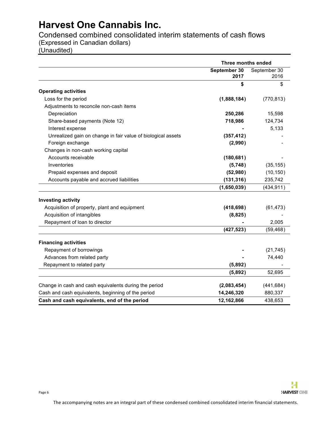Condensed combined consolidated interim statements of cash flows (Expressed in Canadian dollars)

(Unaudited)

|                                                              | Three months ended   |                      |
|--------------------------------------------------------------|----------------------|----------------------|
|                                                              | September 30<br>2017 | September 30<br>2016 |
|                                                              | \$                   | \$                   |
| <b>Operating activities</b>                                  |                      |                      |
| Loss for the period                                          | (1,888,184)          | (770, 813)           |
| Adjustments to reconcile non-cash items                      |                      |                      |
| Depreciation                                                 | 250,286              | 15,598               |
| Share-based payments (Note 12)                               | 718,986              | 124,734              |
| Interest expense                                             |                      | 5,133                |
| Unrealized gain on change in fair value of biological assets | (357, 412)           |                      |
| Foreign exchange                                             | (2,990)              |                      |
| Changes in non-cash working capital                          |                      |                      |
| Accounts receivable                                          | (180, 681)           |                      |
| Inventories                                                  | (5,748)              | (35, 155)            |
| Prepaid expenses and deposit                                 | (52,980)             | (10, 150)            |
| Accounts payable and accrued liabilities                     | (131, 316)           | 235,742              |
|                                                              | (1,650,039)          | (434, 911)           |
| <b>Investing activity</b>                                    |                      |                      |
| Acquisition of property, plant and equipment                 | (418, 698)           | (61, 473)            |
| Acquisition of intangibles                                   | (8,825)              |                      |
| Repayment of loan to director                                |                      | 2,005                |
|                                                              | (427, 523)           | (59, 468)            |
| <b>Financing activities</b>                                  |                      |                      |
| Repayment of borrowings                                      |                      | (21, 745)            |
| Advances from related party                                  |                      | 74,440               |
| Repayment to related party                                   | (5,892)              |                      |
|                                                              | (5,892)              | 52,695               |
| Change in cash and cash equivalents during the period        | (2,083,454)          | (441, 684)           |
| Cash and cash equivalents, beginning of the period           | 14,246,320           | 880,337              |
| Cash and cash equivalents, end of the period                 | 12,162,866           | 438,653              |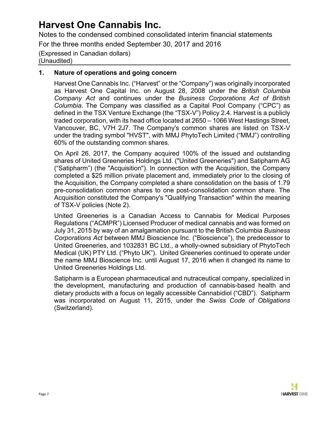Notes to the condensed combined consolidated interim financial statements

For the three months ended September 30, 2017 and 2016

#### (Expressed in Canadian dollars) (Unaudited)

#### **1. Nature of operations and going concern**

Harvest One Cannabis Inc. ("Harvest" or the "Company") was originally incorporated as Harvest One Capital Inc. on August 28, 2008 under the *British Columbia Company Act* and continues under the *Business Corporations Act of British Columbia*. The Company was classified as a Capital Pool Company ("CPC") as defined in the TSX Venture Exchange (the "TSX-V") Policy 2.4. Harvest is a publicly traded corporation, with its head office located at 2650 – 1066 West Hastings Street, Vancouver, BC, V7H 2J7. The Company's common shares are listed on TSX-V under the trading symbol "HVST", with MMJ PhytoTech Limited ("MMJ") controlling 60% of the outstanding common shares.

On April 26, 2017, the Company acquired 100% of the issued and outstanding shares of United Greeneries Holdings Ltd. ("United Greeneries") and Satipharm AG ("Satipharm") (the "Acquisition"). In connection with the Acquisition, the Company completed a \$25 million private placement and, immediately prior to the closing of the Acquisition, the Company completed a share consolidation on the basis of 1.79 pre-consolidation common shares to one post-consolidation common share. The Acquisition constituted the Company's "Qualifying Transaction" within the meaning of TSX-V policies (Note 2).

United Greeneries is a Canadian Access to Cannabis for Medical Purposes Regulations ("ACMPR") Licensed Producer of medical cannabis and was formed on July 31, 2015 by way of an amalgamation pursuant to the British Columbia *Business Corporations Act* between MMJ Bioscience Inc. ("Bioscience"), the predecessor to United Greeneries, and 1032831 BC Ltd., a wholly-owned subsidiary of PhytoTech Medical (UK) PTY Ltd. ("Phyto UK"). United Greeneries continued to operate under the name MMJ Bioscience Inc. until August 17, 2016 when it changed its name to United Greeneries Holdings Ltd.

Satipharm is a European pharmaceutical and nutraceutical company, specialized in the development, manufacturing and production of cannabis-based health and dietary products with a focus on legally accessible Cannabidiol ("CBD"). Satipharm was incorporated on August 11, 2015, under the *Swiss Code of Obligations* (Switzerland).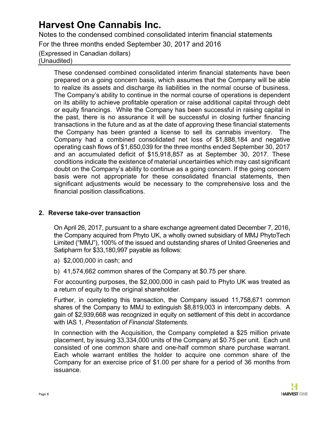Notes to the condensed combined consolidated interim financial statements

For the three months ended September 30, 2017 and 2016

(Expressed in Canadian dollars) (Unaudited)

> These condensed combined consolidated interim financial statements have been prepared on a going concern basis, which assumes that the Company will be able to realize its assets and discharge its liabilities in the normal course of business. The Company's ability to continue in the normal course of operations is dependent on its ability to achieve profitable operation or raise additional capital through debt or equity financings. While the Company has been successful in raising capital in the past, there is no assurance it will be successful in closing further financing transactions in the future and as at the date of approving these financial statements the Company has been granted a license to sell its cannabis inventory. The Company had a combined consolidated net loss of \$1,888,184 and negative operating cash flows of \$1,650,039 for the three months ended September 30, 2017 and an accumulated deficit of \$15,918,857 as at September 30, 2017. These conditions indicate the existence of material uncertainties which may cast significant doubt on the Company's ability to continue as a going concern. If the going concern basis were not appropriate for these consolidated financial statements, then significant adjustments would be necessary to the comprehensive loss and the financial position classifications.

### **2. Reverse take-over transaction**

On April 26, 2017, pursuant to a share exchange agreement dated December 7, 2016, the Company acquired from Phyto UK, a wholly owned subsidiary of MMJ PhytoTech Limited ("MMJ"), 100% of the issued and outstanding shares of United Greeneries and Satipharm for \$33,180,997 payable as follows:

- a) \$2,000,000 in cash; and
- b) 41,574,662 common shares of the Company at \$0.75 per share.

For accounting purposes, the \$2,000,000 in cash paid to Phyto UK was treated as a return of equity to the original shareholder.

Further, in completing this transaction, the Company issued 11,758,671 common shares of the Company to MMJ to extinguish \$8,819,003 in intercompany debts. A gain of \$2,939,668 was recognized in equity on settlement of this debt in accordance with IAS 1*, Presentation of Financial Statements.*

In connection with the Acquisition, the Company completed a \$25 million private placement, by issuing 33,334,000 units of the Company at \$0.75 per unit. Each unit consisted of one common share and one-half common share purchase warrant. Each whole warrant entitles the holder to acquire one common share of the Company for an exercise price of \$1.00 per share for a period of 36 months from issuance.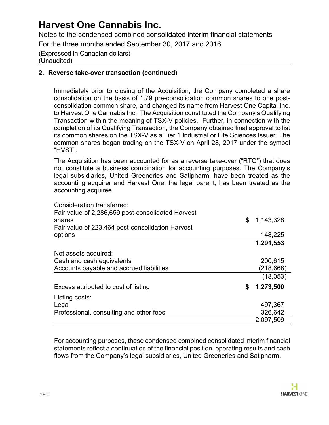Notes to the condensed combined consolidated interim financial statements

For the three months ended September 30, 2017 and 2016

(Expressed in Canadian dollars) (Unaudited)

#### **2. Reverse take-over transaction (continued)**

Immediately prior to closing of the Acquisition, the Company completed a share consolidation on the basis of 1.79 pre-consolidation common shares to one postconsolidation common share, and changed its name from Harvest One Capital Inc. to Harvest One Cannabis Inc. The Acquisition constituted the Company's Qualifying Transaction within the meaning of TSX-V policies. Further, in connection with the completion of its Qualifying Transaction, the Company obtained final approval to list its common shares on the TSX-V as a Tier 1 Industrial or Life Sciences Issuer. The common shares began trading on the TSX-V on April 28, 2017 under the symbol "HVST".

The Acquisition has been accounted for as a reverse take-over ("RTO") that does not constitute a business combination for accounting purposes. The Company's legal subsidiaries, United Greeneries and Satipharm, have been treated as the accounting acquirer and Harvest One, the legal parent, has been treated as the accounting acquiree.

| Consideration transferred:                                  |                 |
|-------------------------------------------------------------|-----------------|
| Fair value of 2,286,659 post-consolidated Harvest<br>shares | \$<br>1,143,328 |
| Fair value of 223,464 post-consolidation Harvest            |                 |
| options                                                     | 148,225         |
|                                                             | 1,291,553       |
| Net assets acquired:                                        |                 |
| Cash and cash equivalents                                   | 200,615         |
| Accounts payable and accrued liabilities                    | (218,668)       |
|                                                             | (18,053)        |
| Excess attributed to cost of listing                        | \$<br>1,273,500 |
| Listing costs:                                              |                 |
| Legal                                                       | 497,367         |
| Professional, consulting and other fees                     | 326,642         |
|                                                             | 2,097,509       |

For accounting purposes, these condensed combined consolidated interim financial statements reflect a continuation of the financial position, operating results and cash flows from the Company's legal subsidiaries, United Greeneries and Satipharm.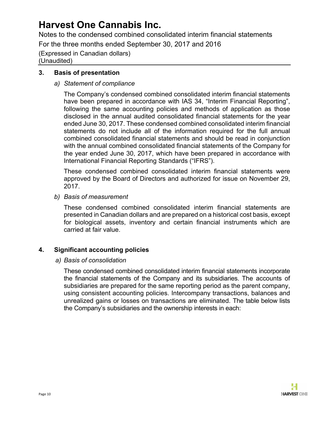Notes to the condensed combined consolidated interim financial statements

For the three months ended September 30, 2017 and 2016

(Expressed in Canadian dollars) (Unaudited)

#### **3. Basis of presentation**

#### *a) Statement of compliance*

The Company's condensed combined consolidated interim financial statements have been prepared in accordance with IAS 34, "Interim Financial Reporting", following the same accounting policies and methods of application as those disclosed in the annual audited consolidated financial statements for the year ended June 30, 2017. These condensed combined consolidated interim financial statements do not include all of the information required for the full annual combined consolidated financial statements and should be read in conjunction with the annual combined consolidated financial statements of the Company for the year ended June 30, 2017, which have been prepared in accordance with International Financial Reporting Standards ("IFRS").

These condensed combined consolidated interim financial statements were approved by the Board of Directors and authorized for issue on November 29, 2017.

*b) Basis of measurement* 

These condensed combined consolidated interim financial statements are presented in Canadian dollars and are prepared on a historical cost basis, except for biological assets, inventory and certain financial instruments which are carried at fair value.

#### **4. Significant accounting policies**

#### *a) Basis of consolidation*

These condensed combined consolidated interim financial statements incorporate the financial statements of the Company and its subsidiaries. The accounts of subsidiaries are prepared for the same reporting period as the parent company, using consistent accounting policies. Intercompany transactions, balances and unrealized gains or losses on transactions are eliminated. The table below lists the Company's subsidiaries and the ownership interests in each: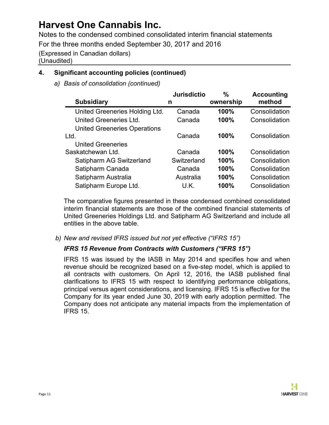Notes to the condensed combined consolidated interim financial statements

For the three months ended September 30, 2017 and 2016

(Expressed in Canadian dollars)

(Unaudited)

### **4. Significant accounting policies (continued)**

*a) Basis of consolidation (continued)*

|                                     | <b>Jurisdictio</b> | %         | <b>Accounting</b> |
|-------------------------------------|--------------------|-----------|-------------------|
| <b>Subsidiary</b>                   | n                  | ownership | method            |
| United Greeneries Holding Ltd.      | Canada             | 100%      | Consolidation     |
| United Greeneries Ltd.              | Canada             | 100%      | Consolidation     |
| <b>United Greeneries Operations</b> |                    |           |                   |
| Ltd.                                | Canada             | 100%      | Consolidation     |
| <b>United Greeneries</b>            |                    |           |                   |
| Saskatchewan Ltd.                   | Canada             | 100%      | Consolidation     |
| Satipharm AG Switzerland            | Switzerland        | 100%      | Consolidation     |
| Satipharm Canada                    | Canada             | 100%      | Consolidation     |
| Satipharm Australia                 | Australia          | 100%      | Consolidation     |
| Satipharm Europe Ltd.               | U.K.               | 100%      | Consolidation     |

The comparative figures presented in these condensed combined consolidated interim financial statements are those of the combined financial statements of United Greeneries Holdings Ltd. and Satipharm AG Switzerland and include all entities in the above table.

*b) New and revised IFRS issued but not yet effective ("IFRS 15")*

### *IFRS 15 Revenue from Contracts with Customers ("IFRS 15")*

IFRS 15 was issued by the IASB in May 2014 and specifies how and when revenue should be recognized based on a five-step model, which is applied to all contracts with customers. On April 12, 2016, the IASB published final clarifications to IFRS 15 with respect to identifying performance obligations, principal versus agent considerations, and licensing. IFRS 15 is effective for the Company for its year ended June 30, 2019 with early adoption permitted. The Company does not anticipate any material impacts from the implementation of IFRS 15.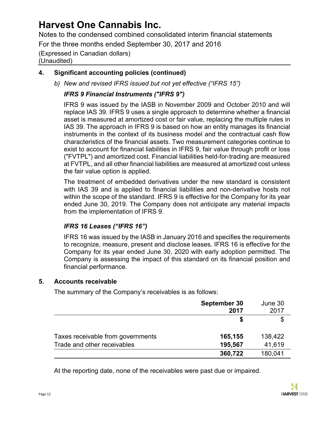Notes to the condensed combined consolidated interim financial statements

For the three months ended September 30, 2017 and 2016

### (Expressed in Canadian dollars)

(Unaudited)

### **4. Significant accounting policies (continued)**

*b) New and revised IFRS issued but not yet effective ("IFRS 15")*

### *IFRS 9 Financial Instruments ("IFRS 9")*

IFRS 9 was issued by the IASB in November 2009 and October 2010 and will replace IAS 39. IFRS 9 uses a single approach to determine whether a financial asset is measured at amortized cost or fair value, replacing the multiple rules in IAS 39. The approach in IFRS 9 is based on how an entity manages its financial instruments in the context of its business model and the contractual cash flow characteristics of the financial assets. Two measurement categories continue to exist to account for financial liabilities in IFRS 9, fair value through profit or loss ("FVTPL") and amortized cost. Financial liabilities held-for-trading are measured at FVTPL, and all other financial liabilities are measured at amortized cost unless the fair value option is applied.

The treatment of embedded derivatives under the new standard is consistent with IAS 39 and is applied to financial liabilities and non-derivative hosts not within the scope of the standard. IFRS 9 is effective for the Company for its year ended June 30, 2019. The Company does not anticipate any material impacts from the implementation of IFRS 9.

### *IFRS 16 Leases ("IFRS 16")*

IFRS 16 was issued by the IASB in January 2016 and specifies the requirements to recognize, measure, present and disclose leases. IFRS 16 is effective for the Company for its year ended June 30, 2020 with early adoption permitted. The Company is assessing the impact of this standard on its financial position and financial performance.

### **5. Accounts receivable**

The summary of the Company's receivables is as follows:

|                                   | September 30<br>2017 | June 30<br>2017 |
|-----------------------------------|----------------------|-----------------|
|                                   |                      |                 |
| Taxes receivable from governments | 165,155              | 138,422         |
| Trade and other receivables       | 195,567              | 41,619          |
|                                   | 360,722              | 180,041         |

At the reporting date, none of the receivables were past due or impaired.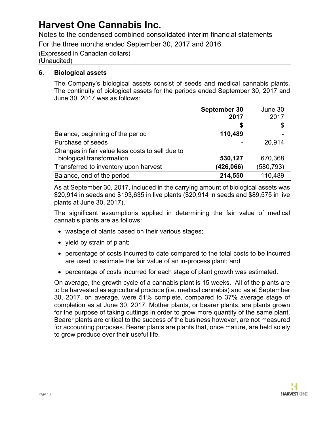Notes to the condensed combined consolidated interim financial statements

For the three months ended September 30, 2017 and 2016

(Expressed in Canadian dollars) (Unaudited)

#### **6. Biological assets**

The Company's biological assets consist of seeds and medical cannabis plants. The continuity of biological assets for the periods ended September 30, 2017 and June 30, 2017 was as follows:

|                                                 | September 30 | June 30    |
|-------------------------------------------------|--------------|------------|
|                                                 | 2017         | 2017       |
|                                                 | Ъ            | \$         |
| Balance, beginning of the period                | 110,489      |            |
| Purchase of seeds                               |              | 20,914     |
| Changes in fair value less costs to sell due to |              |            |
| biological transformation                       | 530,127      | 670,368    |
| Transferred to inventory upon harvest           | (426,066)    | (580, 793) |
| Balance, end of the period                      | 214,550      | 110,489    |

As at September 30, 2017, included in the carrying amount of biological assets was \$20,914 in seeds and \$193,635 in live plants (\$20,914 in seeds and \$89,575 in live plants at June 30, 2017).

The significant assumptions applied in determining the fair value of medical cannabis plants are as follows:

- wastage of plants based on their various stages;
- yield by strain of plant;
- percentage of costs incurred to date compared to the total costs to be incurred are used to estimate the fair value of an in-process plant; and
- percentage of costs incurred for each stage of plant growth was estimated.

On average, the growth cycle of a cannabis plant is 15 weeks. All of the plants are to be harvested as agricultural produce (i.e. medical cannabis) and as at September 30, 2017, on average, were 51% complete, compared to 37% average stage of completion as at June 30, 2017. Mother plants, or bearer plants, are plants grown for the purpose of taking cuttings in order to grow more quantity of the same plant. Bearer plants are critical to the success of the business however, are not measured for accounting purposes. Bearer plants are plants that, once mature, are held solely to grow produce over their useful life.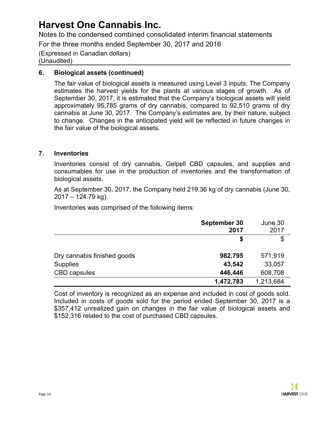Notes to the condensed combined consolidated interim financial statements

For the three months ended September 30, 2017 and 2016

(Expressed in Canadian dollars) (Unaudited)

#### **6. Biological assets (continued)**

The fair value of biological assets is measured using Level 3 inputs. The Company estimates the harvest yields for the plants at various stages of growth. As of September 30, 2017, it is estimated that the Company's biological assets will yield approximately 95,785 grams of dry cannabis, compared to 92,510 grams of dry cannabis at June 30, 2017. The Company's estimates are, by their nature, subject to change. Changes in the anticipated yield will be reflected in future changes in the fair value of the biological assets.

#### **7. Inventories**

Inventories consist of dry cannabis, Gelpell CBD capsules, and supplies and consumables for use in the production of inventories and the transformation of biological assets.

As at September 30, 2017, the Company held 219.36 kg of dry cannabis (June 30,  $2017 - 124.79$  kg).

Inventories was comprised of the following items:

|                             | September 30<br>2017 | June 30<br>2017 |
|-----------------------------|----------------------|-----------------|
|                             | S                    | \$              |
| Dry cannabis finished goods | 982,795              | 571,919         |
| <b>Supplies</b>             | 43,542               | 33,057          |
| <b>CBD</b> capsules         | 446,446              | 608,708         |
|                             | 1,472,783            | 1,213,684       |

Cost of inventory is recognized as an expense and included in cost of goods sold. Included in costs of goods sold for the period ended September 30, 2017 is a \$357,412 unrealized gain on changes in the fair value of biological assets and \$152,316 related to the cost of purchased CBD capsules.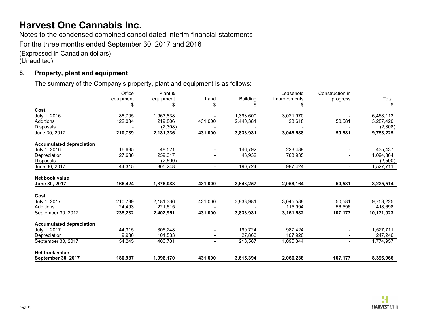Notes to the condensed combined consolidated interim financial statements

For the three months ended September 30, 2017 and 2016

(Expressed in Canadian dollars)

(Unaudited)

### **8. Property, plant and equipment**

The summary of the Company's property, plant and equipment is as follows:

|                                 | Office    | Plant &   |                          |                 | Leasehold    | Construction in          |            |
|---------------------------------|-----------|-----------|--------------------------|-----------------|--------------|--------------------------|------------|
|                                 | equipment | equipment | Land                     | <b>Building</b> | improvements | progress                 | Total      |
|                                 | \$        | \$        | \$                       | \$              | \$           |                          | \$         |
| Cost                            |           |           |                          |                 |              |                          |            |
| July 1, 2016                    | 88,705    | 1,963,838 |                          | 1,393,600       | 3,021,970    |                          | 6,468,113  |
| Additions                       | 122,034   | 219,806   | 431,000                  | 2,440,381       | 23,618       | 50,581                   | 3,287,420  |
| Disposals                       |           | (2,308)   |                          |                 |              |                          | (2,308)    |
| June 30, 2017                   | 210,739   | 2,181,336 | 431,000                  | 3,833,981       | 3,045,588    | 50,581                   | 9,753,225  |
| <b>Accumulated depreciation</b> |           |           |                          |                 |              |                          |            |
| July 1, 2016                    | 16,635    | 48,521    |                          | 146,792         | 223,489      |                          | 435,437    |
| Depreciation                    | 27,680    | 259,317   |                          | 43,932          | 763,935      |                          | 1,094,864  |
| Disposals                       |           | (2,590)   |                          |                 |              |                          | (2,590)    |
| June 30, 2017                   | 44,315    | 305,248   |                          | 190,724         | 987,424      | $\overline{\phantom{0}}$ | 1,527,711  |
| Net book value                  |           |           |                          |                 |              |                          |            |
| June 30, 2017                   | 166,424   | 1,876,088 | 431,000                  | 3,643,257       | 2,058,164    | 50,581                   | 8,225,514  |
| Cost                            |           |           |                          |                 |              |                          |            |
| July 1, 2017                    | 210,739   | 2,181,336 | 431,000                  | 3,833,981       | 3,045,588    | 50,581                   | 9,753,225  |
| Additions                       | 24,493    | 221,615   |                          |                 | 115,994      | 56,596                   | 418,698    |
| September 30, 2017              | 235,232   | 2,402,951 | 431,000                  | 3,833,981       | 3,161,582    | 107,177                  | 10,171,923 |
| <b>Accumulated depreciation</b> |           |           |                          |                 |              |                          |            |
| July 1, 2017                    | 44,315    | 305,248   |                          | 190,724         | 987,424      |                          | 1,527,711  |
| Depreciation                    | 9,930     | 101,533   |                          | 27,863          | 107,920      |                          | 247,246    |
| September 30, 2017              | 54,245    | 406,781   | $\overline{\phantom{0}}$ | 218,587         | 1,095,344    | $\blacksquare$           | 1,774,957  |
| Net book value                  |           |           |                          |                 |              |                          |            |
| <b>September 30, 2017</b>       | 180,987   | 1,996,170 | 431,000                  | 3,615,394       | 2,066,238    | 107,177                  | 8,396,966  |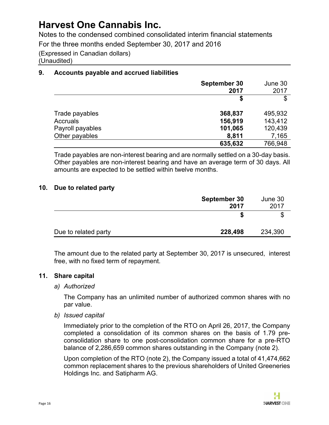Notes to the condensed combined consolidated interim financial statements

For the three months ended September 30, 2017 and 2016

(Expressed in Canadian dollars) (Unaudited)

### **9. Accounts payable and accrued liabilities**

|                  | September 30<br>2017 | June 30<br>2017 |
|------------------|----------------------|-----------------|
|                  | S                    | \$              |
| Trade payables   | 368,837              | 495,932         |
| Accruals         | 156,919              | 143,412         |
| Payroll payables | 101,065              | 120,439         |
| Other payables   | 8,811                | 7,165           |
|                  | 635,632              | 766,948         |

Trade payables are non-interest bearing and are normally settled on a 30-day basis. Other payables are non-interest bearing and have an average term of 30 days. All amounts are expected to be settled within twelve months.

#### **10. Due to related party**

|                      | September 30<br>2017 | June 30<br>2017 |
|----------------------|----------------------|-----------------|
|                      |                      | \$              |
| Due to related party | 228,498              | 234,390         |

The amount due to the related party at September 30, 2017 is unsecured, interest free, with no fixed term of repayment.

#### **11. Share capital**

*a) Authorized*

The Company has an unlimited number of authorized common shares with no par value.

*b) Issued capital*

Immediately prior to the completion of the RTO on April 26, 2017, the Company completed a consolidation of its common shares on the basis of 1.79 preconsolidation share to one post-consolidation common share for a pre-RTO balance of 2,286,659 common shares outstanding in the Company (note 2).

Upon completion of the RTO (note 2), the Company issued a total of 41,474,662 common replacement shares to the previous shareholders of United Greeneries Holdings Inc. and Satipharm AG.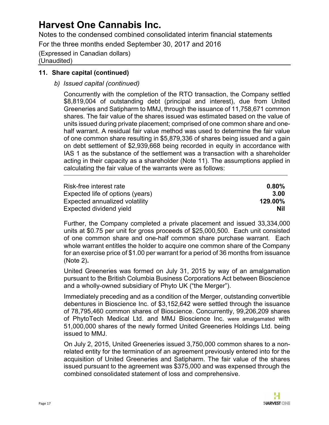Notes to the condensed combined consolidated interim financial statements

For the three months ended September 30, 2017 and 2016

(Expressed in Canadian dollars) (Unaudited)

#### **11. Share capital (continued)**

*b) Issued capital (continued)*

Concurrently with the completion of the RTO transaction, the Company settled \$8,819,004 of outstanding debt (principal and interest), due from United Greeneries and Satipharm to MMJ, through the issuance of 11,758,671 common shares. The fair value of the shares issued was estimated based on the value of units issued during private placement; comprised of one common share and onehalf warrant. A residual fair value method was used to determine the fair value of one common share resulting in \$5,879,336 of shares being issued and a gain on debt settlement of \$2,939,668 being recorded in equity in accordance with IAS 1 as the substance of the settlement was a transaction with a shareholder acting in their capacity as a shareholder (Note 11). The assumptions applied in calculating the fair value of the warrants were as follows:

| Risk-free interest rate          | 0.80%   |
|----------------------------------|---------|
| Expected life of options (years) | 3.00    |
| Expected annualized volatility   | 129.00% |
| Expected dividend yield          | Nil     |

Further, the Company completed a private placement and issued 33,334,000 units at \$0.75 per unit for gross proceeds of \$25,000,500. Each unit consisted of one common share and one-half common share purchase warrant. Each whole warrant entitles the holder to acquire one common share of the Company for an exercise price of \$1.00 per warrant for a period of 36 months from issuance (Note 2)**.**

United Greeneries was formed on July 31, 2015 by way of an amalgamation pursuant to the British Columbia Business Corporations Act between Bioscience and a wholly-owned subsidiary of Phyto UK ("the Merger").

Immediately preceding and as a condition of the Merger, outstanding convertible debentures in Bioscience Inc. of \$3,152,642 were settled through the issuance of 78,795,460 common shares of Bioscience. Concurrently, 99,206,209 shares of PhytoTech Medical Ltd. and MMJ Bioscience Inc. were amalgamated with 51,000,000 shares of the newly formed United Greeneries Holdings Ltd. being issued to MMJ.

On July 2, 2015, United Greeneries issued 3,750,000 common shares to a nonrelated entity for the termination of an agreement previously entered into for the acquisition of United Greeneries and Satipharm. The fair value of the shares issued pursuant to the agreement was \$375,000 and was expensed through the combined consolidated statement of loss and comprehensive.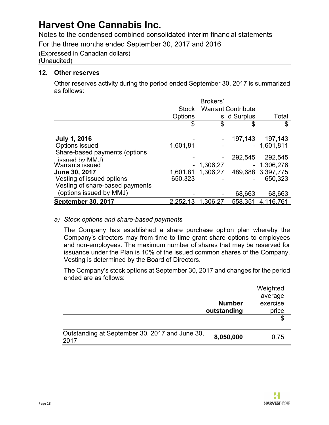Notes to the condensed combined consolidated interim financial statements

For the three months ended September 30, 2017 and 2016

(Expressed in Canadian dollars) (Unaudited)

#### **12. Other reserves**

Other reserves activity during the period ended September 30, 2017 is summarized as follows:

|                                 |              | Brokers'    |                           |                   |  |
|---------------------------------|--------------|-------------|---------------------------|-------------------|--|
|                                 | <b>Stock</b> |             | <b>Warrant Contribute</b> |                   |  |
|                                 | Options      |             | s d Surplus               | Total             |  |
|                                 | \$           | \$          | \$                        | \$                |  |
|                                 |              |             |                           | 197,143           |  |
| <b>July 1, 2016</b>             |              |             | 197,143                   |                   |  |
| Options issued                  | 1,601,81     |             |                           | $-1,601,811$      |  |
| Share-based payments (options   |              |             |                           |                   |  |
| issued by MM.I)                 |              |             | 292,545                   | 292,545           |  |
| Warrants issued                 |              | $-1,306,27$ | $\blacksquare$            | 1,306,276         |  |
| <b>June 30, 2017</b>            | 1,601,81     | 1,306,27    |                           | 489,688 3,397,775 |  |
| Vesting of issued options       | 650,323      |             |                           | 650,323           |  |
| Vesting of share-based payments |              |             |                           |                   |  |
| (options issued by MMJ)         |              |             | 68,663                    | 68,663            |  |
| <b>September 30, 2017</b>       | 2,252,13     | 1,306,27    | 558,351                   | 4,116,761         |  |

#### *a) Stock options and share-based payments*

The Company has established a share purchase option plan whereby the Company's directors may from time to time grant share options to employees and non-employees. The maximum number of shares that may be reserved for issuance under the Plan is 10% of the issued common shares of the Company. Vesting is determined by the Board of Directors.

The Company's stock options at September 30, 2017 and changes for the period ended are as follows:

|                                                        |               | Weighted |
|--------------------------------------------------------|---------------|----------|
|                                                        |               | average  |
|                                                        | <b>Number</b> | exercise |
|                                                        | outstanding   | price    |
|                                                        |               | \$       |
|                                                        |               |          |
| Outstanding at September 30, 2017 and June 30,<br>2017 | 8,050,000     | 0.75     |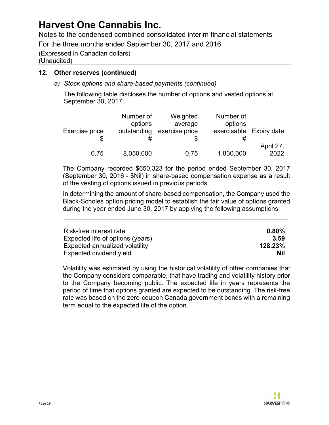Notes to the condensed combined consolidated interim financial statements

For the three months ended September 30, 2017 and 2016

(Expressed in Canadian dollars) (Unaudited)

#### **12. Other reserves (continued)**

*a) Stock options and share-based payments (continued)*

The following table discloses the number of options and vested options at September 30, 2017:

|                | Number of   | Weighted       | Number of   |             |
|----------------|-------------|----------------|-------------|-------------|
|                | options     | average        | options     |             |
| Exercise price | outstanding | exercise price | exercisable | Expiry date |
| S              | #           |                |             |             |
|                |             |                |             | April 27,   |
| 0.75           | 8,050,000   | 0.75           | 1,830,000   | 2022        |

The Company recorded \$650,323 for the period ended September 30, 2017 (September 30, 2016 - \$Nil) in share-based compensation expense as a result of the vesting of options issued in previous periods.

In determining the amount of share-based compensation, the Company used the Black-Scholes option pricing model to establish the fair value of options granted during the year ended June 30, 2017 by applying the following assumptions:

| Risk-free interest rate          | $0.80\%$   |
|----------------------------------|------------|
| Expected life of options (years) | 3.59       |
| Expected annualized volatility   | 128.23%    |
| Expected dividend yield          | <b>Nil</b> |

Volatility was estimated by using the historical volatility of other companies that the Company considers comparable, that have trading and volatility history prior to the Company becoming public. The expected life in years represents the period of time that options granted are expected to be outstanding. The risk-free rate was based on the zero-coupon Canada government bonds with a remaining term equal to the expected life of the option.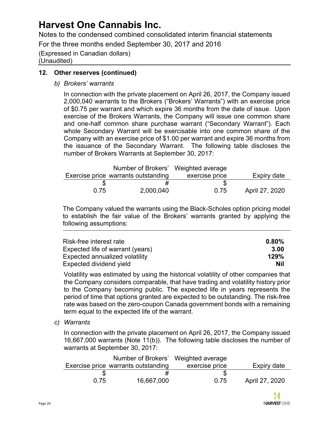Notes to the condensed combined consolidated interim financial statements

For the three months ended September 30, 2017 and 2016

(Expressed in Canadian dollars) (Unaudited)

### **12. Other reserves (continued)**

*b) Brokers' warrants*

In connection with the private placement on April 26, 2017, the Company issued 2,000,040 warrants to the Brokers ("Brokers' Warrants") with an exercise price of \$0.75 per warrant and which expire 36 months from the date of issue. Upon exercise of the Brokers Warrants, the Company will issue one common share and one-half common share purchase warrant ("Secondary Warrant"). Each whole Secondary Warrant will be exercisable into one common share of the Company with an exercise price of \$1.00 per warrant and expire 36 months from the issuance of the Secondary Warrant. The following table discloses the number of Brokers Warrants at September 30, 2017:

|      | Number of Brokers' Weighted average |                |                |
|------|-------------------------------------|----------------|----------------|
|      | Exercise price warrants outstanding | exercise price | Expiry date    |
|      | #                                   |                |                |
| 0.75 | 2,000,040                           | 0.75           | April 27, 2020 |

The Company valued the warrants using the Black-Scholes option pricing model to establish the fair value of the Brokers' warrants granted by applying the following assumptions:

| Risk-free interest rate          | $0.80\%$ |
|----------------------------------|----------|
| Expected life of warrant (years) | 3.00     |
| Expected annualized volatility   | 129%     |
| Expected dividend yield          | Nil      |

Volatility was estimated by using the historical volatility of other companies that the Company considers comparable, that have trading and volatility history prior to the Company becoming public. The expected life in years represents the period of time that options granted are expected to be outstanding. The risk-free rate was based on the zero-coupon Canada government bonds with a remaining term equal to the expected life of the warrant.

*c) Warrants*

In connection with the private placement on April 26, 2017, the Company issued 16,667,000 warrants (Note 11(b)). The following table discloses the number of warrants at September 30, 2017:

|      | Number of Brokers' Weighted average |                |                |
|------|-------------------------------------|----------------|----------------|
|      | Exercise price warrants outstanding | exercise price | Expiry date    |
|      |                                     |                |                |
| 0.75 | 16,667,000                          | 0.75           | April 27, 2020 |

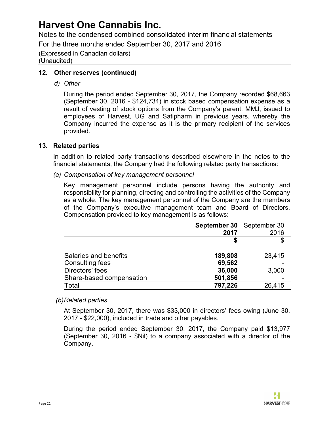Notes to the condensed combined consolidated interim financial statements

For the three months ended September 30, 2017 and 2016

(Expressed in Canadian dollars) (Unaudited)

#### **12. Other reserves (continued)**

*d) Other*

During the period ended September 30, 2017, the Company recorded \$68,663 (September 30, 2016 - \$124,734) in stock based compensation expense as a result of vesting of stock options from the Company's parent, MMJ, issued to employees of Harvest, UG and Satipharm in previous years, whereby the Company incurred the expense as it is the primary recipient of the services provided.

#### **13. Related parties**

In addition to related party transactions described elsewhere in the notes to the financial statements, the Company had the following related party transactions:

*(a) Compensation of key management personnel*

Key management personnel include persons having the authority and responsibility for planning, directing and controlling the activities of the Company as a whole. The key management personnel of the Company are the members of the Company's executive management team and Board of Directors. Compensation provided to key management is as follows:

|                          | September 30 September 30<br>2017 | 2016   |
|--------------------------|-----------------------------------|--------|
|                          |                                   |        |
| Salaries and benefits    | 189,808                           | 23,415 |
| Consulting fees          | 69,562                            |        |
| Directors' fees          | 36,000                            | 3,000  |
| Share-based compensation | 501,856                           |        |
| Total                    | 797,226                           | 26,415 |

#### *(b)Related parties*

At September 30, 2017, there was \$33,000 in directors' fees owing (June 30, 2017 - \$22,000), included in trade and other payables.

During the period ended September 30, 2017, the Company paid \$13,977 (September 30, 2016 - \$Nil) to a company associated with a director of the Company.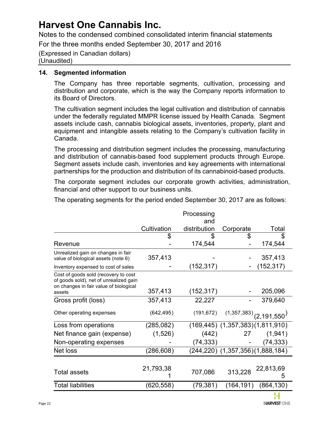Notes to the condensed combined consolidated interim financial statements

For the three months ended September 30, 2017 and 2016

(Expressed in Canadian dollars) (Unaudited)

#### **14. Segmented information**

The Company has three reportable segments, cultivation, processing and distribution and corporate, which is the way the Company reports information to its Board of Directors.

The cultivation segment includes the legal cultivation and distribution of cannabis under the federally regulated MMPR license issued by Health Canada. Segment assets include cash, cannabis biological assets, inventories, property, plant and equipment and intangible assets relating to the Company's cultivation facility in Canada.

The processing and distribution segment includes the processing, manufacturing and distribution of cannabis-based food supplement products through Europe. Segment assets include cash, inventories and key agreements with international partnerships for the production and distribution of its cannabinoid-based products.

The corporate segment includes our corporate growth activities, administration, financial and other support to our business units.

The operating segments for the period ended September 30, 2017 are as follows:

|                                                                                                                          |             | Processing   |                                              |                |
|--------------------------------------------------------------------------------------------------------------------------|-------------|--------------|----------------------------------------------|----------------|
|                                                                                                                          |             | and          |                                              |                |
|                                                                                                                          | Cultivation | distribution | Corporate                                    | Total          |
|                                                                                                                          | \$          | \$           | \$                                           |                |
| Revenue                                                                                                                  |             | 174,544      |                                              | 174,544        |
| Unrealized gain on changes in fair<br>value of biological assets (note 6)                                                | 357,413     |              |                                              | 357,413        |
| Inventory expensed to cost of sales                                                                                      |             | (152, 317)   |                                              | (152, 317)     |
| Cost of goods sold (recovery to cost<br>of goods sold), net of unrealized gain<br>on changes in fair value of biological |             |              |                                              |                |
| assets                                                                                                                   | 357,413     | (152, 317)   |                                              | 205,096        |
| Gross profit (loss)                                                                                                      | 357,413     | 22,227       |                                              | 379,640        |
| Other operating expenses                                                                                                 | (642, 495)  |              | $(191,672)$ $(1,357,383)$ $(2,191,550)$      |                |
| Loss from operations                                                                                                     | (285, 082)  |              | $(169, 445)$ $(1, 357, 383)$ $(1, 811, 910)$ |                |
| Net finance gain (expense)                                                                                               | (1,526)     | (442)        | 27                                           | (1,941)        |
| Non-operating expenses                                                                                                   |             | (74, 333)    |                                              | (74, 333)      |
| Net loss                                                                                                                 | (286,608)   |              | (244,220) (1,357,356)(1,888,184)             |                |
|                                                                                                                          |             |              |                                              |                |
| <b>Total assets</b>                                                                                                      | 21,793,38   | 707,086      | 313,228                                      | 22,813,69<br>5 |
| <b>Total liabilities</b>                                                                                                 | (620, 558)  | (79, 381)    | (164, 191)                                   | (864, 130)     |
|                                                                                                                          |             |              |                                              |                |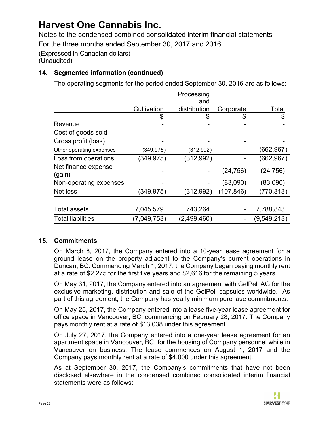Notes to the condensed combined consolidated interim financial statements

For the three months ended September 30, 2017 and 2016

(Expressed in Canadian dollars)

(Unaudited)

### **14. Segmented information (continued)**

The operating segments for the period ended September 30, 2016 are as follows:

|                               |             | Processing<br>and |            |               |
|-------------------------------|-------------|-------------------|------------|---------------|
|                               | Cultivation | distribution      | Corporate  | Total         |
|                               | \$          | \$                | \$         | \$            |
| Revenue                       |             |                   |            |               |
| Cost of goods sold            |             |                   |            |               |
| Gross profit (loss)           |             |                   |            |               |
| Other operating expenses      | (349,975)   | (312,992)         |            | (662, 967)    |
| Loss from operations          | (349, 975)  | (312, 992)        |            | (662, 967)    |
| Net finance expense<br>(gain) |             |                   | (24, 756)  | (24, 756)     |
| Non-operating expenses        |             |                   | (83,090)   | (83,090)      |
| Net loss                      | (349,975)   | (312, 992)        | (107, 846) | (770, 813)    |
|                               |             |                   |            |               |
| <b>Total assets</b>           | 7,045,579   | 743,264           |            | 7,788,843     |
| <b>Total liabilities</b>      | (7,049,753) | (2,499,460)       |            | (9, 549, 213) |

#### **15. Commitments**

On March 8, 2017, the Company entered into a 10-year lease agreement for a ground lease on the property adjacent to the Company's current operations in Duncan, BC. Commencing March 1, 2017, the Company began paying monthly rent at a rate of \$2,275 for the first five years and \$2,616 for the remaining 5 years.

On May 31, 2017, the Company entered into an agreement with GelPell AG for the exclusive marketing, distribution and sale of the GelPell capsules worldwide. As part of this agreement, the Company has yearly minimum purchase commitments.

On May 25, 2017, the Company entered into a lease five-year lease agreement for office space in Vancouver, BC, commencing on February 28, 2017. The Company pays monthly rent at a rate of \$13,038 under this agreement.

On July 27, 2017, the Company entered into a one-year lease agreement for an apartment space in Vancouver, BC, for the housing of Company personnel while in Vancouver on business. The lease commences on August 1, 2017 and the Company pays monthly rent at a rate of \$4,000 under this agreement.

As at September 30, 2017, the Company's commitments that have not been disclosed elsewhere in the condensed combined consolidated interim financial statements were as follows: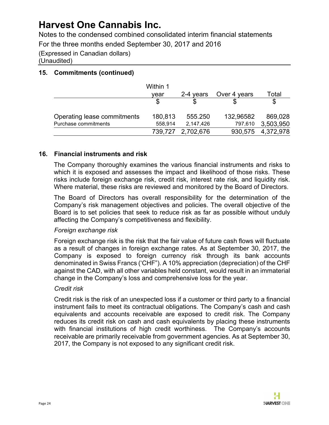Notes to the condensed combined consolidated interim financial statements

For the three months ended September 30, 2017 and 2016

(Expressed in Canadian dollars)

(Unaudited)

### **15. Commitments (continued)**

| Within 1 |           |                   |              |
|----------|-----------|-------------------|--------------|
| vear     | 2-4 years |                   | Total        |
|          |           |                   |              |
| 180,813  | 555.250   | 132,96582         | 869,028      |
| 558,914  | 2,147,426 | 797,610           | 3,503,950    |
|          |           | 930,575           | 4,372,978    |
|          |           | 739,727 2,702,676 | Over 4 years |

### **16. Financial instruments and risk**

The Company thoroughly examines the various financial instruments and risks to which it is exposed and assesses the impact and likelihood of those risks. These risks include foreign exchange risk, credit risk, interest rate risk, and liquidity risk. Where material, these risks are reviewed and monitored by the Board of Directors.

The Board of Directors has overall responsibility for the determination of the Company's risk management objectives and policies. The overall objective of the Board is to set policies that seek to reduce risk as far as possible without unduly affecting the Company's competitiveness and flexibility.

#### *Foreign exchange risk*

Foreign exchange risk is the risk that the fair value of future cash flows will fluctuate as a result of changes in foreign exchange rates. As at September 30, 2017, the Company is exposed to foreign currency risk through its bank accounts denominated in Swiss Francs ('CHF"). A 10% appreciation (depreciation) of the CHF against the CAD, with all other variables held constant, would result in an immaterial change in the Company's loss and comprehensive loss for the year.

#### *Credit risk*

Credit risk is the risk of an unexpected loss if a customer or third party to a financial instrument fails to meet its contractual obligations. The Company's cash and cash equivalents and accounts receivable are exposed to credit risk. The Company reduces its credit risk on cash and cash equivalents by placing these instruments with financial institutions of high credit worthiness. The Company's accounts receivable are primarily receivable from government agencies. As at September 30, 2017, the Company is not exposed to any significant credit risk.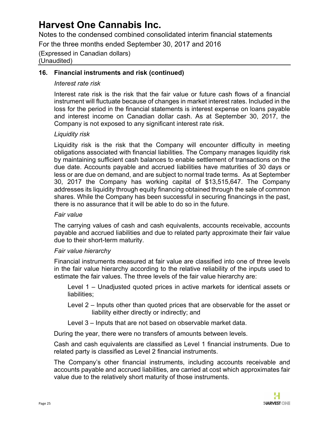Notes to the condensed combined consolidated interim financial statements

For the three months ended September 30, 2017 and 2016

(Expressed in Canadian dollars) (Unaudited)

#### **16. Financial instruments and risk (continued)**

#### *Interest rate risk*

Interest rate risk is the risk that the fair value or future cash flows of a financial instrument will fluctuate because of changes in market interest rates. Included in the loss for the period in the financial statements is interest expense on loans payable and interest income on Canadian dollar cash. As at September 30, 2017, the Company is not exposed to any significant interest rate risk.

### *Liquidity risk*

Liquidity risk is the risk that the Company will encounter difficulty in meeting obligations associated with financial liabilities. The Company manages liquidity risk by maintaining sufficient cash balances to enable settlement of transactions on the due date. Accounts payable and accrued liabilities have maturities of 30 days or less or are due on demand, and are subject to normal trade terms. As at September 30, 2017 the Company has working capital of \$13,515,647. The Company addresses its liquidity through equity financing obtained through the sale of common shares. While the Company has been successful in securing financings in the past, there is no assurance that it will be able to do so in the future.

#### *Fair value*

The carrying values of cash and cash equivalents, accounts receivable, accounts payable and accrued liabilities and due to related party approximate their fair value due to their short-term maturity.

#### *Fair value hierarchy*

Financial instruments measured at fair value are classified into one of three levels in the fair value hierarchy according to the relative reliability of the inputs used to estimate the fair values. The three levels of the fair value hierarchy are:

Level 1 – Unadjusted quoted prices in active markets for identical assets or liabilities;

- Level 2 Inputs other than quoted prices that are observable for the asset or liability either directly or indirectly; and
- Level 3 Inputs that are not based on observable market data.

During the year, there were no transfers of amounts between levels.

Cash and cash equivalents are classified as Level 1 financial instruments. Due to related party is classified as Level 2 financial instruments.

The Company's other financial instruments, including accounts receivable and accounts payable and accrued liabilities, are carried at cost which approximates fair value due to the relatively short maturity of those instruments.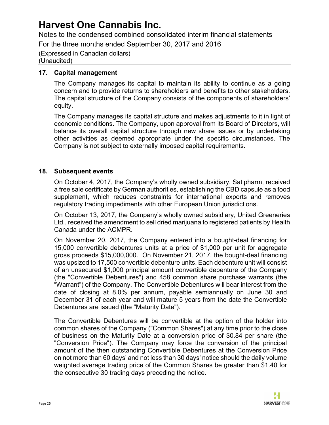Notes to the condensed combined consolidated interim financial statements

For the three months ended September 30, 2017 and 2016

(Expressed in Canadian dollars) (Unaudited)

#### **17. Capital management**

The Company manages its capital to maintain its ability to continue as a going concern and to provide returns to shareholders and benefits to other stakeholders. The capital structure of the Company consists of the components of shareholders' equity.

The Company manages its capital structure and makes adjustments to it in light of economic conditions. The Company, upon approval from its Board of Directors, will balance its overall capital structure through new share issues or by undertaking other activities as deemed appropriate under the specific circumstances. The Company is not subject to externally imposed capital requirements.

### **18. Subsequent events**

On October 4, 2017, the Company's wholly owned subsidiary, Satipharm, received a free sale certificate by German authorities, establishing the CBD capsule as a food supplement, which reduces constraints for international exports and removes regulatory trading impediments with other European Union jurisdictions.

On October 13, 2017, the Company's wholly owned subsidiary, United Greeneries Ltd., received the amendment to sell dried marijuana to registered patients by Health Canada under the ACMPR.

On November 20, 2017, the Company entered into a bought-deal financing for 15,000 convertible debentures units at a price of \$1,000 per unit for aggregate gross proceeds \$15,000,000. On November 21, 2017, the bought-deal financing was upsized to 17,500 convertible debenture units. Each debenture unit will consist of an unsecured \$1,000 principal amount convertible debenture of the Company (the "Convertible Debentures") and 458 common share purchase warrants (the "Warrant") of the Company. The Convertible Debentures will bear interest from the date of closing at 8.0% per annum, payable semiannually on June 30 and December 31 of each year and will mature 5 years from the date the Convertible Debentures are issued (the "Maturity Date").

The Convertible Debentures will be convertible at the option of the holder into common shares of the Company ("Common Shares") at any time prior to the close of business on the Maturity Date at a conversion price of \$0.84 per share (the "Conversion Price"). The Company may force the conversion of the principal amount of the then outstanding Convertible Debentures at the Conversion Price on not more than 60 days' and not less than 30 days' notice should the daily volume weighted average trading price of the Common Shares be greater than \$1.40 for the consecutive 30 trading days preceding the notice.